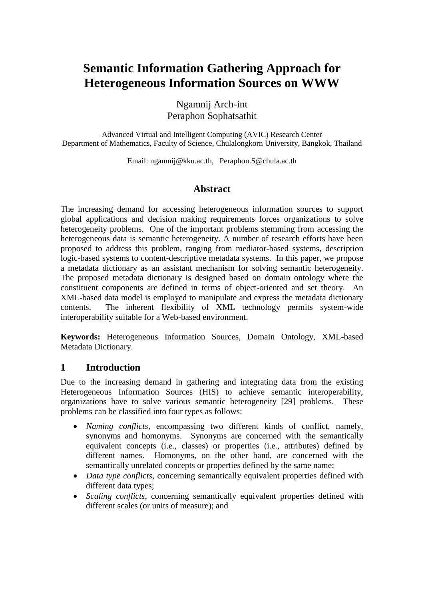# **Semantic Information Gathering Approach for Heterogeneous Information Sources on WWW**

Ngamnij Arch-int Peraphon Sophatsathit

Advanced Virtual and Intelligent Computing (AVIC) Research Center Department of Mathematics, Faculty of Science, Chulalongkorn University, Bangkok, Thailand

Email: ngamnij@kku.ac.th, Peraphon.S@chula.ac.th

# **Abstract**

The increasing demand for accessing heterogeneous information sources to support global applications and decision making requirements forces organizations to solve heterogeneity problems. One of the important problems stemming from accessing the heterogeneous data is semantic heterogeneity. A number of research efforts have been proposed to address this problem, ranging from mediator-based systems, description logic-based systems to content-descriptive metadata systems. In this paper, we propose a metadata dictionary as an assistant mechanism for solving semantic heterogeneity. The proposed metadata dictionary is designed based on domain ontology where the constituent components are defined in terms of object-oriented and set theory. An XML-based data model is employed to manipulate and express the metadata dictionary contents. The inherent flexibility of XML technology permits system-wide interoperability suitable for a Web-based environment.

**Keywords:** Heterogeneous Information Sources, Domain Ontology, XML-based Metadata Dictionary.

# **1 Introduction**

Due to the increasing demand in gathering and integrating data from the existing Heterogeneous Information Sources (HIS) to achieve semantic interoperability, organizations have to solve various semantic heterogeneity [29] problems. These problems can be classified into four types as follows:

- *Naming conflicts*, encompassing two different kinds of conflict, namely, synonyms and homonyms. Synonyms are concerned with the semantically equivalent concepts (i.e., classes) or properties (i.e., attributes) defined by different names. Homonyms, on the other hand, are concerned with the semantically unrelated concepts or properties defined by the same name;
- *Data type conflicts*, concerning semantically equivalent properties defined with different data types;
- *Scaling conflicts*, concerning semantically equivalent properties defined with different scales (or units of measure); and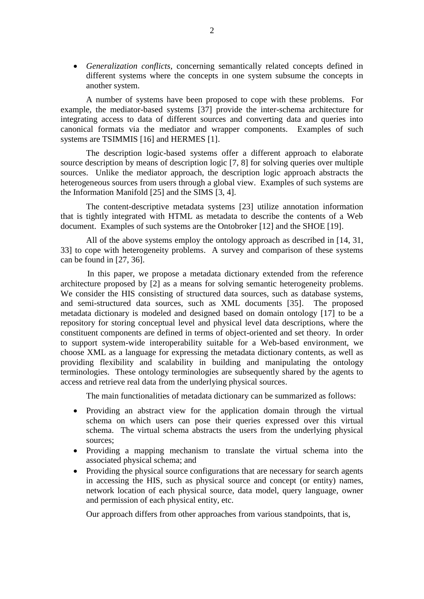*Generalization conflicts*, concerning semantically related concepts defined in different systems where the concepts in one system subsume the concepts in another system.

A number of systems have been proposed to cope with these problems. For example, the mediator-based systems [37] provide the inter-schema architecture for integrating access to data of different sources and converting data and queries into canonical formats via the mediator and wrapper components. Examples of such systems are TSIMMIS [16] and HERMES [1].

The description logic-based systems offer a different approach to elaborate source description by means of description logic [7, 8] for solving queries over multiple sources. Unlike the mediator approach, the description logic approach abstracts the heterogeneous sources from users through a global view. Examples of such systems are the Information Manifold [25] and the SIMS [3, 4].

The content-descriptive metadata systems [23] utilize annotation information that is tightly integrated with HTML as metadata to describe the contents of a Web document. Examples of such systems are the Ontobroker [12] and the SHOE [19].

All of the above systems employ the ontology approach as described in [14, 31, 33] to cope with heterogeneity problems. A survey and comparison of these systems can be found in [27, 36].

In this paper, we propose a metadata dictionary extended from the reference architecture proposed by [2] as a means for solving semantic heterogeneity problems. We consider the HIS consisting of structured data sources, such as database systems, and semi-structured data sources, such as XML documents [35]. The proposed metadata dictionary is modeled and designed based on domain ontology [17] to be a repository for storing conceptual level and physical level data descriptions, where the constituent components are defined in terms of object-oriented and set theory. In order to support system-wide interoperability suitable for a Web-based environment, we choose XML as a language for expressing the metadata dictionary contents, as well as providing flexibility and scalability in building and manipulating the ontology terminologies. These ontology terminologies are subsequently shared by the agents to access and retrieve real data from the underlying physical sources.

The main functionalities of metadata dictionary can be summarized as follows:

- Providing an abstract view for the application domain through the virtual schema on which users can pose their queries expressed over this virtual schema. The virtual schema abstracts the users from the underlying physical sources;
- Providing a mapping mechanism to translate the virtual schema into the associated physical schema; and
- Providing the physical source configurations that are necessary for search agents in accessing the HIS, such as physical source and concept (or entity) names, network location of each physical source, data model, query language, owner and permission of each physical entity, etc.

Our approach differs from other approaches from various standpoints, that is,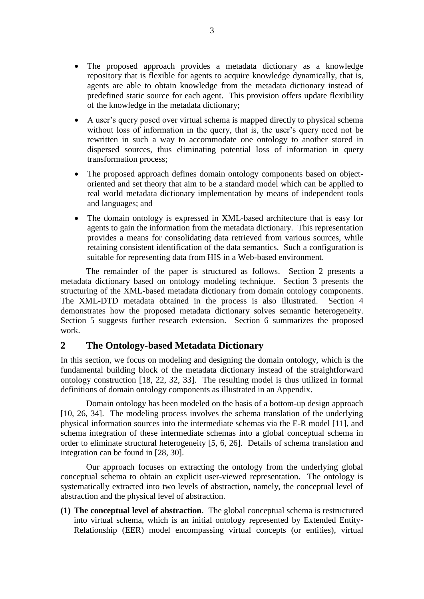- The proposed approach provides a metadata dictionary as a knowledge repository that is flexible for agents to acquire knowledge dynamically, that is, agents are able to obtain knowledge from the metadata dictionary instead of predefined static source for each agent. This provision offers update flexibility of the knowledge in the metadata dictionary;
- A user's query posed over virtual schema is mapped directly to physical schema without loss of information in the query, that is, the user's query need not be rewritten in such a way to accommodate one ontology to another stored in dispersed sources, thus eliminating potential loss of information in query transformation process;
- The proposed approach defines domain ontology components based on objectoriented and set theory that aim to be a standard model which can be applied to real world metadata dictionary implementation by means of independent tools and languages; and
- The domain ontology is expressed in XML-based architecture that is easy for agents to gain the information from the metadata dictionary. This representation provides a means for consolidating data retrieved from various sources, while retaining consistent identification of the data semantics. Such a configuration is suitable for representing data from HIS in a Web-based environment.

The remainder of the paper is structured as follows. Section 2 presents a metadata dictionary based on ontology modeling technique. Section 3 presents the structuring of the XML-based metadata dictionary from domain ontology components. The XML-DTD metadata obtained in the process is also illustrated. Section 4 demonstrates how the proposed metadata dictionary solves semantic heterogeneity. Section 5 suggests further research extension. Section 6 summarizes the proposed work.

# **2 The Ontology-based Metadata Dictionary**

In this section, we focus on modeling and designing the domain ontology, which is the fundamental building block of the metadata dictionary instead of the straightforward ontology construction [18, 22, 32, 33]. The resulting model is thus utilized in formal definitions of domain ontology components as illustrated in an Appendix.

Domain ontology has been modeled on the basis of a bottom-up design approach [10, 26, 34]. The modeling process involves the schema translation of the underlying physical information sources into the intermediate schemas via the E-R model [11], and schema integration of these intermediate schemas into a global conceptual schema in order to eliminate structural heterogeneity [5, 6, 26]. Details of schema translation and integration can be found in [28, 30].

Our approach focuses on extracting the ontology from the underlying global conceptual schema to obtain an explicit user-viewed representation. The ontology is systematically extracted into two levels of abstraction, namely, the conceptual level of abstraction and the physical level of abstraction.

**(1) The conceptual level of abstraction**. The global conceptual schema is restructured into virtual schema, which is an initial ontology represented by Extended Entity-Relationship (EER) model encompassing virtual concepts (or entities), virtual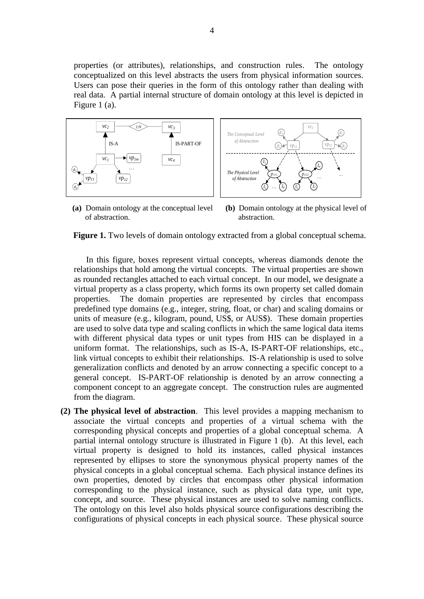properties (or attributes), relationships, and construction rules. The ontology conceptualized on this level abstracts the users from physical information sources. Users can pose their queries in the form of this ontology rather than dealing with real data. A partial internal structure of domain ontology at this level is depicted in Figure 1 (a).





**(a)** Domain ontology at the conceptual level of abstraction.

**(b)** Domain ontology at the physical level of abstraction.

**Figure 1.** Two levels of domain ontology extracted from a global conceptual schema.

In this figure, boxes represent virtual concepts, whereas diamonds denote the relationships that hold among the virtual concepts. The virtual properties are shown as rounded rectangles attached to each virtual concept. In our model, we designate a virtual property as a class property, which forms its own property set called domain properties. The domain properties are represented by circles that encompass predefined type domains (e.g., integer, string, float, or char) and scaling domains or units of measure (e.g., kilogram, pound, US\$, or AUS\$). These domain properties are used to solve data type and scaling conflicts in which the same logical data items with different physical data types or unit types from HIS can be displayed in a uniform format. The relationships, such as IS-A, IS-PART-OF relationships, etc., link virtual concepts to exhibit their relationships. IS-A relationship is used to solve generalization conflicts and denoted by an arrow connecting a specific concept to a general concept. IS-PART-OF relationship is denoted by an arrow connecting a component concept to an aggregate concept. The construction rules are augmented from the diagram.

**(2) The physical level of abstraction**. This level provides a mapping mechanism to associate the virtual concepts and properties of a virtual schema with the corresponding physical concepts and properties of a global conceptual schema. A partial internal ontology structure is illustrated in Figure 1 (b). At this level, each virtual property is designed to hold its instances, called physical instances represented by ellipses to store the synonymous physical property names of the physical concepts in a global conceptual schema. Each physical instance defines its own properties, denoted by circles that encompass other physical information corresponding to the physical instance, such as physical data type, unit type, concept, and source. These physical instances are used to solve naming conflicts. The ontology on this level also holds physical source configurations describing the configurations of physical concepts in each physical source. These physical source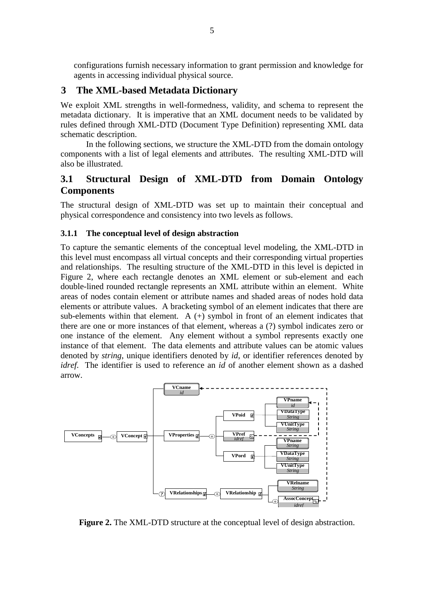configurations furnish necessary information to grant permission and knowledge for agents in accessing individual physical source.

### **3 The XML-based Metadata Dictionary**

We exploit XML strengths in well-formedness, validity, and schema to represent the metadata dictionary. It is imperative that an XML document needs to be validated by rules defined through XML-DTD (Document Type Definition) representing XML data schematic description.

In the following sections, we structure the XML-DTD from the domain ontology components with a list of legal elements and attributes. The resulting XML-DTD will also be illustrated.

# **3.1 Structural Design of XML-DTD from Domain Ontology Components**

The structural design of XML-DTD was set up to maintain their conceptual and physical correspondence and consistency into two levels as follows.

#### **3.1.1 The conceptual level of design abstraction**

To capture the semantic elements of the conceptual level modeling, the XML-DTD in this level must encompass all virtual concepts and their corresponding virtual properties and relationships. The resulting structure of the XML-DTD in this level is depicted in Figure 2, where each rectangle denotes an XML element or sub-element and each double-lined rounded rectangle represents an XML attribute within an element. White areas of nodes contain element or attribute names and shaded areas of nodes hold data elements or attribute values. A bracketing symbol of an element indicates that there are sub-elements within that element. A  $(+)$  symbol in front of an element indicates that there are one or more instances of that element, whereas a (?) symbol indicates zero or one instance of the element. Any element without a symbol represents exactly one instance of that element. The data elements and attribute values can be atomic values denoted by *string*, unique identifiers denoted by *id*, or identifier references denoted by *idref*. The identifier is used to reference an *id* of another element shown as a dashed arrow.



**Figure 2.** The XML-DTD structure at the conceptual level of design abstraction.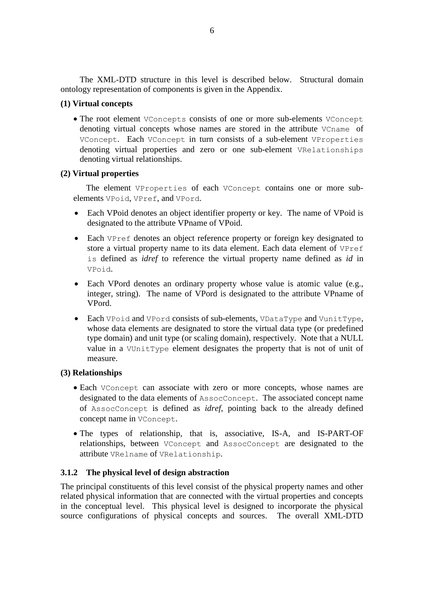The XML-DTD structure in this level is described below. Structural domain ontology representation of components is given in the Appendix.

### **(1) Virtual concepts**

 The root element VConcepts consists of one or more sub-elements VConcept denoting virtual concepts whose names are stored in the attribute VCname of VConcept. Each VConcept in turn consists of a sub-element VProperties denoting virtual properties and zero or one sub-element VRelationships denoting virtual relationships.

### **(2) Virtual properties**

The element VProperties of each VConcept contains one or more subelements VPoid, VPref, and VPord.

- Each VPoid denotes an object identifier property or key. The name of VPoid is designated to the attribute VPname of VPoid.
- Each VPref denotes an object reference property or foreign key designated to store a virtual property name to its data element. Each data element of VPref is defined as *idref* to reference the virtual property name defined as *id* in VPoid.
- Each VPord denotes an ordinary property whose value is atomic value (e.g., integer, string). The name of VPord is designated to the attribute VPname of VPord.
- Each VPoid and VPord consists of sub-elements, VDataType and VunitType, whose data elements are designated to store the virtual data type (or predefined type domain) and unit type (or scaling domain), respectively. Note that a NULL value in a VUnitType element designates the property that is not of unit of measure.

#### **(3) Relationships**

- Each VConcept can associate with zero or more concepts, whose names are designated to the data elements of AssocConcept. The associated concept name of AssocConcept is defined as *idref*, pointing back to the already defined concept name in VConcept.
- The types of relationship, that is, associative, IS-A, and IS-PART-OF relationships, between VConcept and AssocConcept are designated to the attribute VRelname of VRelationship.

### **3.1.2 The physical level of design abstraction**

The principal constituents of this level consist of the physical property names and other related physical information that are connected with the virtual properties and concepts in the conceptual level. This physical level is designed to incorporate the physical source configurations of physical concepts and sources. The overall XML-DTD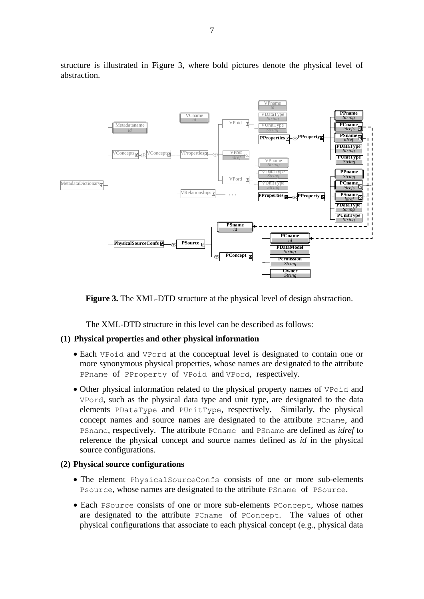

structure is illustrated in Figure 3, where bold pictures denote the physical level of abstraction.



The XML-DTD structure in this level can be described as follows:

#### **(1) Physical properties and other physical information**

- Each VPoid and VPord at the conceptual level is designated to contain one or more synonymous physical properties, whose names are designated to the attribute PPname of PProperty of VPoid and VPord, respectively.
- Other physical information related to the physical property names of VPoid and VPord, such as the physical data type and unit type, are designated to the data elements PDataType and PUnitType, respectively. Similarly, the physical concept names and source names are designated to the attribute PCname, and PSname, respectively. The attribute PCname and PSname are defined as *idref* to reference the physical concept and source names defined as *id* in the physical source configurations.

#### **(2) Physical source configurations**

- The element PhysicalSourceConfs consists of one or more sub-elements Psource, whose names are designated to the attribute PSname of PSource.
- Each PSource consists of one or more sub-elements PConcept, whose names are designated to the attribute PCname of PConcept. The values of other physical configurations that associate to each physical concept (e.g., physical data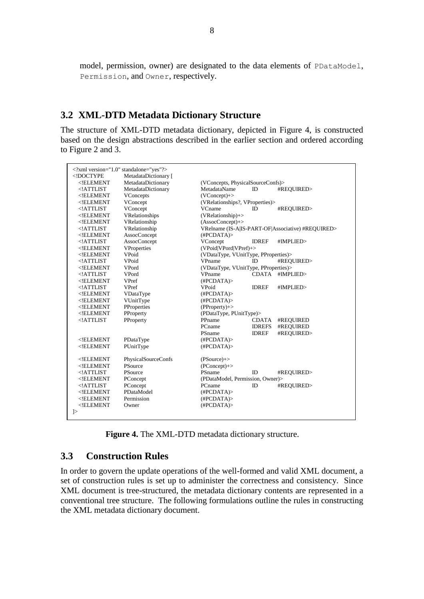model, permission, owner) are designated to the data elements of PDataModel, Permission, and Owner, respectively.

# **3.2 XML-DTD Metadata Dictionary Structure**

The structure of XML-DTD metadata dictionary, depicted in Figure 4, is constructed based on the design abstractions described in the earlier section and ordered according to Figure 2 and 3.

|                                                                                                              | xml version="1.0" standalone="yes"?        |                                                   |               |            |
|--------------------------------------------------------------------------------------------------------------|--------------------------------------------|---------------------------------------------------|---------------|------------|
| br $<$ !ELEMENT                                                                                              | MetadataDictionary [<br>MetadataDictionary |                                                   |               |            |
| $<$ !ATTLIST                                                                                                 |                                            | (VConcepts, PhysicalSourceConfs)><br>MetadataName |               |            |
|                                                                                                              | MetadataDictionary                         |                                                   | ID            | #REQUIRED> |
| ELEMENT</td <td>VConcepts</td> <td colspan="3"><math>(VConcept)</math>+&gt;</td>                             | VConcepts                                  | $(VConcept)$ +>                                   |               |            |
| ELEMENT</td <td>VConcept</td> <td colspan="3">(VRelationships?, VProperties)&gt;</td>                        | VConcept                                   | (VRelationships?, VProperties)>                   |               |            |
| ATTLIST</td <td>VConcept</td> <td>VCname</td> <td>ID.</td> <td>#REQUIRED&gt;</td>                            | VConcept                                   | VCname                                            | ID.           | #REQUIRED> |
| $<$ !ELEMENT                                                                                                 | VRelationships                             | $(VRelationship)$ +>                              |               |            |
| ELEMENT</td <td>VRelationship</td> <td colspan="3"><math>(AssociConcept)</math>+&gt;</td>                    | VRelationship                              | $(AssociConcept)$ +>                              |               |            |
| ATTLIST</td <td>VRelationship</td> <td colspan="3">VRelname (IS-A IS-PART-OF Associative) #REQUIRED&gt;</td> | VRelationship                              | VRelname (IS-A IS-PART-OF Associative) #REQUIRED> |               |            |
| ELEMENT</td <td>AssocConcept</td> <td colspan="3">(HPCDATA)</td>                                             | AssocConcept                               | (HPCDATA)                                         |               |            |
| ATTLIST</td <td><b>AssocConcept</b></td> <td>VConcept</td> <td><b>IDREF</b></td> <td>#IMPLIED&gt;</td>       | <b>AssocConcept</b>                        | VConcept                                          | <b>IDREF</b>  | #IMPLIED>  |
| ELEMENT</td <td>VProperties</td> <td colspan="3">(VPoid VPord VPref)+&gt;</td>                               | VProperties                                | (VPoid VPord VPref)+>                             |               |            |
| ELEMENT</td <td>VPoid</td> <td colspan="3">(VDataType, VUnitType, PProperties)&gt;</td>                      | VPoid                                      | (VDataType, VUnitType, PProperties)>              |               |            |
| ATTLIST</td <td>VPoid</td> <td>VPname</td> <td>ID</td> <td>#REQUIRED&gt;</td>                                | VPoid                                      | VPname                                            | ID            | #REQUIRED> |
| ELEMENT</td <td>VPord</td> <td colspan="3">(VDataType, VUnitType, PProperties)&gt;</td>                      | VPord                                      | (VDataType, VUnitType, PProperties)>              |               |            |
| ATTLIST</td <td>VPord</td> <td>VPname</td> <td><b>CDATA</b></td> <td>#IMPLIED&gt;</td>                       | VPord                                      | VPname                                            | <b>CDATA</b>  | #IMPLIED>  |
| ELEMENT</td <td><b>VPref</b></td> <td>(HPCDATA)</td> <td></td> <td></td>                                     | <b>VPref</b>                               | (HPCDATA)                                         |               |            |
| $<$ !ATTLIST                                                                                                 | VPref                                      | <b>VPoid</b>                                      | <b>IDREF</b>  | #IMPLIED>  |
| $<$ !ELEMENT                                                                                                 | VDataType                                  | (HPCDATA)                                         |               |            |
| $<$ !ELEMENT                                                                                                 | VUnitType                                  | (HPCDATA)                                         |               |            |
| $<$ !ELEMENT                                                                                                 | PProperties                                | $(PProperty)+>$                                   |               |            |
| ELEMENT</td <td>PProperty</td> <td colspan="3">(PDataType, PUnitType)&gt;</td>                               | PProperty                                  | (PDataType, PUnitType)>                           |               |            |
| $<$ !ATTLIST                                                                                                 | PProperty                                  | PPname                                            | <b>CDATA</b>  | #REQUIRED  |
|                                                                                                              |                                            | PCname                                            | <b>IDREFS</b> | #REQUIRED  |
|                                                                                                              |                                            | PSname                                            | <b>IDREF</b>  | #REOUIRED> |
| ELEMENT</td <td>PDataType</td> <td>(HPCDATA)</td> <td></td> <td></td>                                        | PDataType                                  | (HPCDATA)                                         |               |            |
| ELEMENT</td <td>PUnitType</td> <td>(HPCDATA)</td> <td></td> <td></td>                                        | PUnitType                                  | (HPCDATA)                                         |               |            |
|                                                                                                              |                                            |                                                   |               |            |
| ELEMENT</td <td>PhysicalSourceConfs</td> <td><math>(PSource)</math>+&gt;</td> <td></td> <td></td>            | PhysicalSourceConfs                        | $(PSource)$ +>                                    |               |            |
| ELEMENT</td <td>PSource</td> <td><math>(PConcept)</math>+&gt;</td> <td></td> <td></td>                       | PSource                                    | $(PConcept)$ +>                                   |               |            |
| $<$ !ATTLIST                                                                                                 | PSource                                    | PSname                                            | ID            | #REQUIRED> |
| ELEMENT</td <td>PConcept</td> <td colspan="3">(PDataModel, Permission, Owner)&gt;</td>                       | PConcept                                   | (PDataModel, Permission, Owner)>                  |               |            |
| $<$ !ATTLIST                                                                                                 | PConcept                                   | PCname                                            | ID            | #REQUIRED> |
| ELEMENT</td <td>PDataModel</td> <td>(HPCDATA)</td> <td></td> <td></td>                                       | PDataModel                                 | (HPCDATA)                                         |               |            |
| ELEMENT</td <td>Permission</td> <td>(HPCDATA)</td> <td></td> <td></td>                                       | Permission                                 | (HPCDATA)                                         |               |            |
| $<$ !ELEMENT                                                                                                 | Owner                                      | (HPCDATA)                                         |               |            |
| $\mathcal{E}$                                                                                                |                                            |                                                   |               |            |
|                                                                                                              |                                            |                                                   |               |            |

**Figure 4.** The XML-DTD metadata dictionary structure.

# **3.3 Construction Rules**

In order to govern the update operations of the well-formed and valid XML document, a set of construction rules is set up to administer the correctness and consistency. Since XML document is tree-structured, the metadata dictionary contents are represented in a conventional tree structure. The following formulations outline the rules in constructing the XML metadata dictionary document.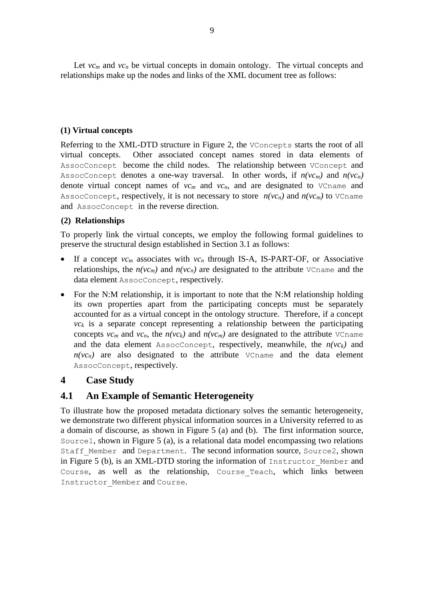Let  $vc_m$  and  $vc_n$  be virtual concepts in domain ontology. The virtual concepts and relationships make up the nodes and links of the XML document tree as follows:

### **(1) Virtual concepts**

Referring to the XML-DTD structure in Figure 2, the VConcepts starts the root of all virtual concepts. Other associated concept names stored in data elements of AssocConcept become the child nodes. The relationship between VConcept and AssocConcept denotes a one-way traversal. In other words, if  $n(vc_m)$  and  $n(vc_n)$ denote virtual concept names of  $vc_m$  and  $vc_n$ , and are designated to  $v_{\text{Cname}}$  and AssocConcept, respectively, it is not necessary to store  $n(vc_n)$  and  $n(vc_m)$  to VCname and AssocConcept in the reverse direction.

### **(2) Relationships**

To properly link the virtual concepts, we employ the following formal guidelines to preserve the structural design established in Section 3.1 as follows:

- If a concept *vc<sup>m</sup>* associates with *vc<sup>n</sup>* through IS-A, IS-PART-OF, or Associative relationships, the  $n(vc_m)$  and  $n(vc_n)$  are designated to the attribute VCname and the data element AssocConcept, respectively.
- For the N:M relationship, it is important to note that the N:M relationship holding its own properties apart from the participating concepts must be separately accounted for as a virtual concept in the ontology structure. Therefore, if a concept  $vc_k$  is a separate concept representing a relationship between the participating concepts  $vc_m$  and  $vc_n$ , the  $n(vc_k)$  and  $n(vc_m)$  are designated to the attribute VCname and the data element AssocConcept, respectively, meanwhile, the  $n(vc_k)$  and  $n(vc_n)$  are also designated to the attribute VCname and the data element AssocConcept, respectively.

# **4 Case Study**

# **4.1 An Example of Semantic Heterogeneity**

To illustrate how the proposed metadata dictionary solves the semantic heterogeneity, we demonstrate two different physical information sources in a University referred to as a domain of discourse, as shown in Figure 5 (a) and (b). The first information source, Source1, shown in Figure 5 (a), is a relational data model encompassing two relations Staff Member and Department. The second information source, Source2, shown in Figure 5 (b), is an XML-DTD storing the information of Instructor\_Member and Course, as well as the relationship, Course\_Teach, which links between Instructor Member and Course.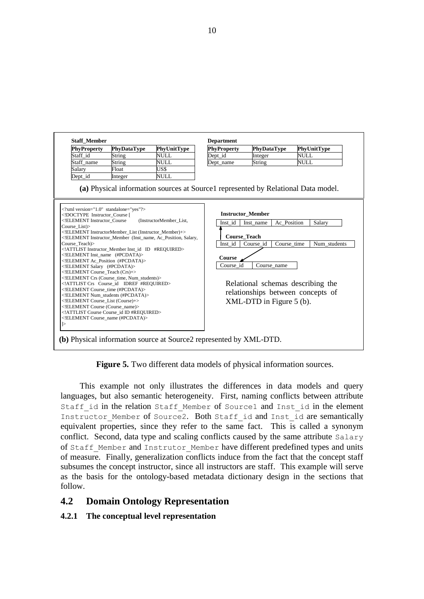

**Figure 5.** Two different data models of physical information sources.

This example not only illustrates the differences in data models and query languages, but also semantic heterogeneity. First, naming conflicts between attribute Staff id in the relation Staff Member of Source1 and Inst id in the element Instructor Member of Source2. Both Staff id and Inst id are semantically equivalent properties, since they refer to the same fact. This is called a synonym conflict. Second, data type and scaling conflicts caused by the same attribute Salary of Staff Member and Instrutor Member have different predefined types and units of measure. Finally, generalization conflicts induce from the fact that the concept staff subsumes the concept instructor, since all instructors are staff. This example will serve as the basis for the ontology-based metadata dictionary design in the sections that follow.

# **4.2 Domain Ontology Representation**

### **4.2.1 The conceptual level representation**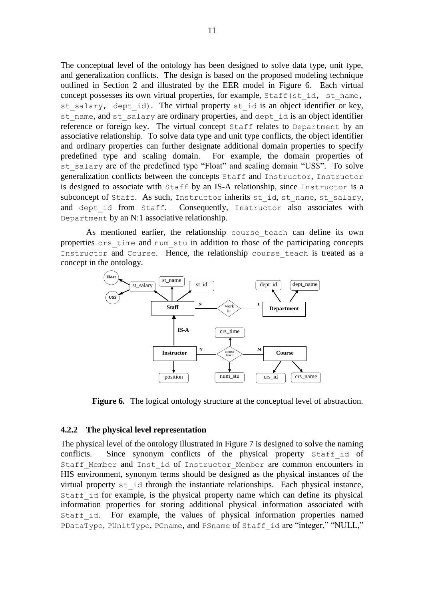The conceptual level of the ontology has been designed to solve data type, unit type, and generalization conflicts. The design is based on the proposed modeling technique outlined in Section 2 and illustrated by the EER model in Figure 6. Each virtual concept possesses its own virtual properties, for example, Staff(st id, st name, st salary, dept id). The virtual property st id is an object identifier or key, st name, and st salary are ordinary properties, and dept id is an object identifier reference or foreign key. The virtual concept Staff relates to Department by an associative relationship. To solve data type and unit type conflicts, the object identifier and ordinary properties can further designate additional domain properties to specify predefined type and scaling domain. For example, the domain properties of st salary are of the predefined type "Float" and scaling domain "US\$". To solve generalization conflicts between the concepts Staff and Instructor, Instructor is designed to associate with Staff by an IS-A relationship, since Instructor is a subconcept of Staff. As such, Instructor inherits st\_id, st\_name, st\_salary, and dept id from Staff. Consequently, Instructor also associates with Department by an N:1 associative relationship.

As mentioned earlier, the relationship course\_teach can define its own properties crs\_time and num\_stu in addition to those of the participating concepts Instructor and Course. Hence, the relationship course teach is treated as a concept in the ontology.



**Figure 6.** The logical ontology structure at the conceptual level of abstraction.

#### **4.2.2 The physical level representation**

The physical level of the ontology illustrated in Figure 7 is designed to solve the naming conflicts. Since synonym conflicts of the physical property Staff id of Staff Member and Inst id of Instructor Member are common encounters in HIS environment, synonym terms should be designed as the physical instances of the virtual property st\_id through the instantiate relationships. Each physical instance, Staff id for example, is the physical property name which can define its physical information properties for storing additional physical information associated with Staff id. For example, the values of physical information properties named PDataType, PUnitType, PCname, and PSname of Staff id are "integer," "NULL,"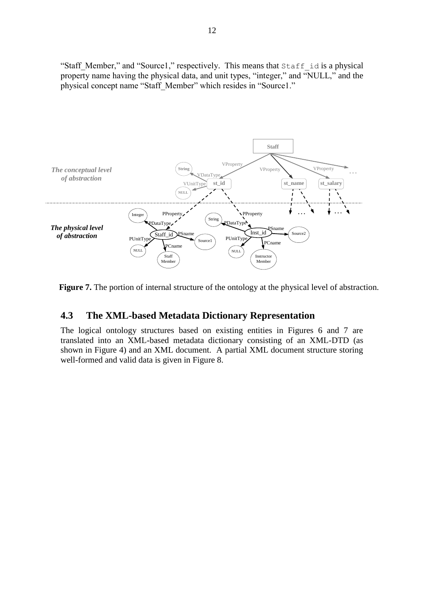"Staff\_Member," and "Source1," respectively. This means that Staff\_id is a physical property name having the physical data, and unit types, "integer," and "NULL," and the physical concept name "Staff\_Member" which resides in "Source1."



Figure 7. The portion of internal structure of the ontology at the physical level of abstraction.

### **4.3 The XML-based Metadata Dictionary Representation**

The logical ontology structures based on existing entities in Figures 6 and 7 are translated into an XML-based metadata dictionary consisting of an XML-DTD (as shown in Figure 4) and an XML document. A partial XML document structure storing well-formed and valid data is given in Figure 8.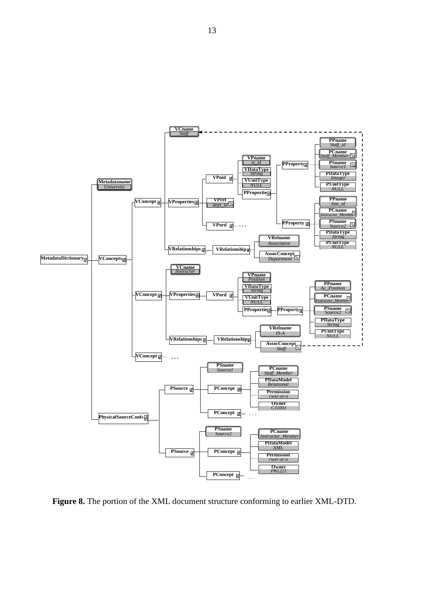

**Figure 8.** The portion of the XML document structure conforming to earlier XML-DTD.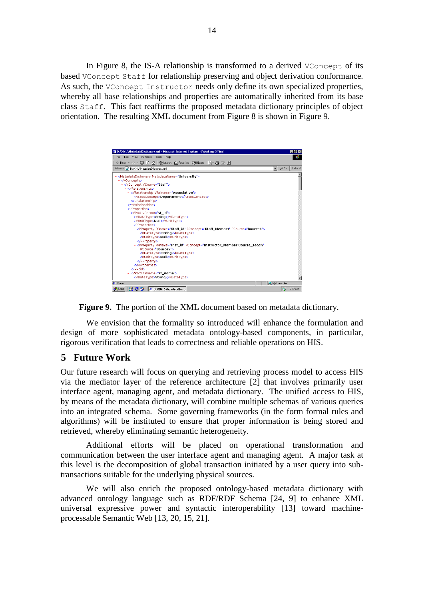In Figure 8, the IS-A relationship is transformed to a derived VConcept of its based VConcept Staff for relationship preserving and object derivation conformance. As such, the VConcept Instructor needs only define its own specialized properties, whereby all base relationships and properties are automatically inherited from its base class Staff. This fact reaffirms the proposed metadata dictionary principles of object orientation. The resulting XML document from Figure 8 is shown in Figure 9.





We envision that the formality so introduced will enhance the formulation and design of more sophisticated metadata ontology-based components, in particular, rigorous verification that leads to correctness and reliable operations on HIS.

# **5 Future Work**

Our future research will focus on querying and retrieving process model to access HIS via the mediator layer of the reference architecture [2] that involves primarily user interface agent, managing agent, and metadata dictionary. The unified access to HIS, by means of the metadata dictionary, will combine multiple schemas of various queries into an integrated schema. Some governing frameworks (in the form formal rules and algorithms) will be instituted to ensure that proper information is being stored and retrieved, whereby eliminating semantic heterogeneity.

Additional efforts will be placed on operational transformation and communication between the user interface agent and managing agent. A major task at this level is the decomposition of global transaction initiated by a user query into subtransactions suitable for the underlying physical sources.

We will also enrich the proposed ontology-based metadata dictionary with advanced ontology language such as RDF/RDF Schema [24, 9] to enhance XML universal expressive power and syntactic interoperability [13] toward machineprocessable Semantic Web [13, 20, 15, 21].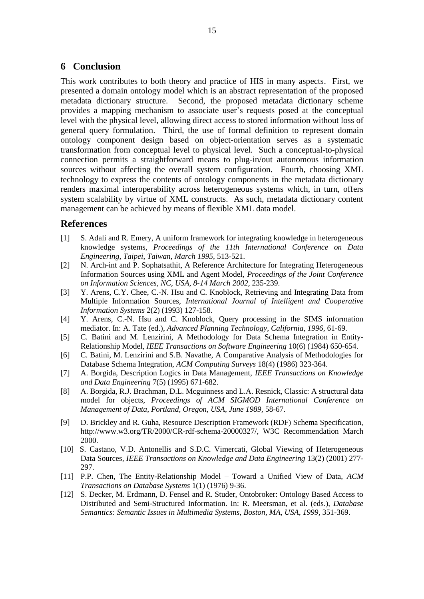### **6 Conclusion**

This work contributes to both theory and practice of HIS in many aspects. First, we presented a domain ontology model which is an abstract representation of the proposed metadata dictionary structure. Second, the proposed metadata dictionary scheme provides a mapping mechanism to associate user's requests posed at the conceptual level with the physical level, allowing direct access to stored information without loss of general query formulation. Third, the use of formal definition to represent domain ontology component design based on object-orientation serves as a systematic transformation from conceptual level to physical level. Such a conceptual-to-physical connection permits a straightforward means to plug-in/out autonomous information sources without affecting the overall system configuration. Fourth, choosing XML technology to express the contents of ontology components in the metadata dictionary renders maximal interoperability across heterogeneous systems which, in turn, offers system scalability by virtue of XML constructs. As such, metadata dictionary content management can be achieved by means of flexible XML data model.

#### **References**

- [1] S. Adali and R. Emery, A uniform framework for integrating knowledge in heterogeneous knowledge systems, *Proceedings of the 11th International Conference on Data Engineering, Taipei*, *Taiwan*, *March 1995,* 513-521.
- [2] N. Arch-int and P. Sophatsathit, A Reference Architecture for Integrating Heterogeneous Information Sources using XML and Agent Model, *Proceedings of the Joint Conference on Information Sciences, NC, USA, 8-14 March 2002,* 235-239.
- [3] Y. Arens, C.Y. Chee, C.-N. Hsu and C. Knoblock, Retrieving and Integrating Data from Multiple Information Sources, *International Journal of Intelligent and Cooperative Information Systems* 2(2) (1993) 127-158.
- [4] Y. Arens, C.-N. Hsu and C. Knoblock, Query processing in the SIMS information mediator. In: A. Tate (ed.), *Advanced Planning Technology, California, 1996*, 61-69.
- [5] C. Batini and M. Lenzirini, A Methodology for Data Schema Integration in Entity-Relationship Model, *IEEE Transactions on Software Engineering* 10(6) (1984) 650-654.
- [6] C. Batini, M. Lenzirini and S.B. Navathe, A Comparative Analysis of Methodologies for Database Schema Integration, *ACM Computing Surveys* 18(4) (1986) 323-364.
- [7] A. Borgida, Description Logics in Data Management, *IEEE Transactions on Knowledge and Data Engineering* 7(5) (1995) 671-682.
- [8] A. Borgida, R.J. Brachman, D.L. Mcguinness and L.A. Resnick, Classic: A structural data model for objects, *Proceedings of ACM SIGMOD International Conference on Management of Data, Portland, Oregon, USA, June 1989,* 58-67.
- [9] D. Brickley and R. Guha, Resource Description Framework (RDF) Schema Specification, http://www.w3.org/TR/2000/CR-rdf-schema-20000327/, W3C Recommendation March 2000.
- [10] S. Castano, V.D. Antonellis and S.D.C. Vimercati, Global Viewing of Heterogeneous Data Sources*, IEEE Transactions on Knowledge and Data Engineering* 13(2) (2001) 277- 297.
- [11] P.P. Chen, The Entity-Relationship Model Toward a Unified View of Data, *ACM Transactions on Database Systems* 1(1) (1976) 9-36.
- [12] S. Decker, M. Erdmann, D. Fensel and R. Studer, Ontobroker: Ontology Based Access to Distributed and Semi-Structured Information. In: R. Meersman, et al. (eds.), *Database Semantics: Semantic Issues in Multimedia Systems*, *Boston, MA, USA, 1999,* 351-369.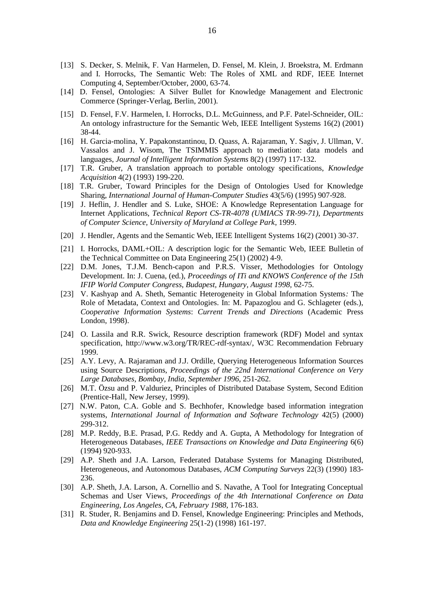- [13] S. Decker, S. Melnik, F. Van Harmelen, D. Fensel, M. Klein, J. Broekstra, M. Erdmann and I. Horrocks, The Semantic Web: The Roles of XML and RDF, IEEE Internet Computing 4, September/October, 2000, 63-74.
- [14] D. Fensel, Ontologies: A Silver Bullet for Knowledge Management and Electronic Commerce (Springer-Verlag, Berlin, 2001).
- [15] D. Fensel, F.V. Harmelen, I. Horrocks, D.L. McGuinness, and P.F. Patel-Schneider, OIL: An ontology infrastructure for the Semantic Web, IEEE Intelligent Systems 16(2) (2001) 38-44.
- [16] H. Garcia-molina, Y. Papakonstantinou, D. Quass, A. Rajaraman, Y. Sagiv, J. Ullman, V. Vassalos and J. Wisom, The TSIMMIS approach to mediation: data models and languages, *Journal of Intelligent Information Systems* 8(2) (1997) 117-132.
- [17] T.R. Gruber, A translation approach to portable ontology specifications, *Knowledge Acquisition* 4(2) (1993) 199-220.
- [18] T.R. Gruber, Toward Principles for the Design of Ontologies Used for Knowledge Sharing, *International Journal of Human-Computer Studies* 43(5/6) (1995) 907-928.
- [19] J. Heflin, J. Hendler and S. Luke, SHOE: A Knowledge Representation Language for Internet Applications, *Technical Report CS-TR-4078 (UMIACS TR-99-71)*, *Departments of Computer Science, University of Maryland at College Park*, 1999.
- [20] J. Hendler, Agents and the Semantic Web, IEEE Intelligent Systems 16(2) (2001) 30-37.
- [21] I. Horrocks, DAML+OIL: A description logic for the Semantic Web, IEEE Bulletin of the Technical Committee on Data Engineering 25(1) (2002) 4-9.
- [22] D.M. Jones, T.J.M. Bench-capon and P.R.S. Visser, Methodologies for Ontology Development. In: J. Cuena, (ed.), *Proceedings of ITi and KNOWS Conference of the 15th IFIP World Computer Congress*, *Budapest, Hungary, August 1998,* 62-75.
- [23] V. Kashyap and A. Sheth, Semantic Heterogeneity in Global Information Systems*:* The Role of Metadata, Context and Ontologies. In: M. Papazoglou and G. Schlageter (eds.), *Cooperative Information Systems*: *Current Trends and Directions* (Academic Press London, 1998).
- [24] O. Lassila and R.R. Swick, Resource description framework (RDF) Model and syntax specification, http://www.w3.org/TR/REC-rdf-syntax/, W3C Recommendation February 1999.
- [25] A.Y. Levy, A. Rajaraman and J.J. Ordille, Querying Heterogeneous Information Sources using Source Descriptions, *Proceedings of the 22nd International Conference on Very Large Databases, Bombay, India*, *September 1996*, 251-262.
- [26] M.T. Özsu and P. Valduriez, Principles of Distributed Database System, Second Edition (Prentice-Hall, New Jersey, 1999).
- [27] N.W. Paton, C.A. Goble and S. Bechhofer, Knowledge based information integration systems, *International Journal of Information and Software Technology* 42(5) (2000) 299-312.
- [28] M.P. Reddy, B.E. Prasad, P.G. Reddy and A. Gupta, A Methodology for Integration of Heterogeneous Databases*, IEEE Transactions on Knowledge and Data Engineering* 6(6) (1994) 920-933.
- [29] A.P. Sheth and J.A. Larson, Federated Database Systems for Managing Distributed, Heterogeneous, and Autonomous Databases, *ACM Computing Surveys* 22(3) (1990) 183- 236.
- [30] A.P. Sheth, J.A. Larson, A. Cornellio and S. Navathe, A Tool for Integrating Conceptual Schemas and User Views, *Proceedings of the 4th International Conference on Data Engineering*, *Los Angeles, CA, February 1988,* 176-183.
- [31] R. Studer, R. Benjamins and D. Fensel, Knowledge Engineering: Principles and Methods*, Data and Knowledge Engineering* 25(1-2) (1998) 161-197.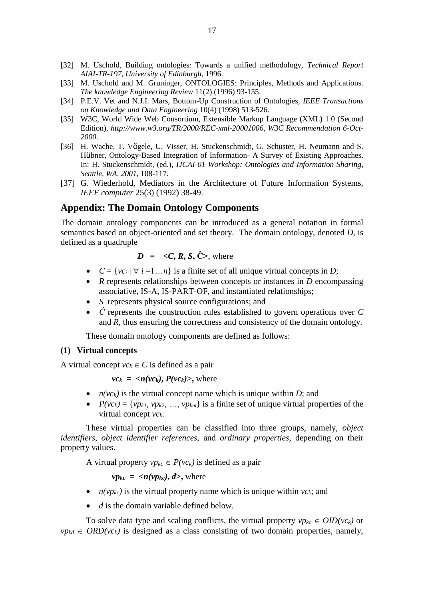- [32] M. Uschold, Building ontologies: Towards a unified methodology, *Technical Report AIAI-TR-197, University of Edinburgh*, 1996.
- [33] M. Uschold and M. Gruninger, ONTOLOGIES: Principles, Methods and Applications. *The knowledge Engineering Review* 11(2) (1996) 93-155.
- [34] P.E.V. Vet and N.J.I. Mars, Bottom-Up Construction of Ontologies, *IEEE Transactions on Knowledge and Data Engineering* 10(4) (1998) 513-526.
- [35] W3C, World Wide Web Consortium, Extensible Markup Language (XML) 1.0 (Second Edition), *<http://www.w3.org/TR/2000/REC-xml-20001006>*, *W3C Recommendation 6-Oct-2000*.
- [36] H. Wache, T. Vögele, U. Visser, H. Stuckenschmidt, G. Schuster, H. Neumann and S. Hübner, Ontology-Based Integration of Information- A Survey of Existing Approaches. In: H. Stuckenschmidt, (ed.), *IJCAI-01 Workshop: Ontologies and Information Sharing, Seattle, WA, 2001,* 108-117.
- [37] G. Wiederhold, Mediators in the Architecture of Future Information Systems, *IEEE computer* 25(3) (1992) 38-49.

### **Appendix: The Domain Ontology Components**

The domain ontology components can be introduced as a general notation in formal semantics based on object-oriented and set theory. The domain ontology, denoted *D*, is defined as a quadruple

$$
D = \langle C, R, S, \hat{C} \rangle
$$
, where

- $C = \{vc_i | \forall i =1...n\}$  is a finite set of all unique virtual concepts in *D*;
- *R* represents relationships between concepts or instances in *D* encompassing associative, IS-A, IS-PART-OF, and instantiated relationships;
- *S* represents physical source configurations; and
- *Ĉ* represents the construction rules established to govern operations over *C* and *R*, thus ensuring the correctness and consistency of the domain ontology.

These domain ontology components are defined as follows:

#### **(1) Virtual concepts**

A virtual concept  $vc_k \in C$  is defined as a pair

 $vc_k = \langle n(vc_k), P(vc_k) \rangle$ , where

- $n(vc_k)$  is the virtual concept name which is unique within *D*; and
- $P(vc_k) = \{vp_{k1}, vp_{k2}, ..., vp_{km}\}\$ is a finite set of unique virtual properties of the virtual concept *vck*.

These virtual properties can be classified into three groups, namely, *object identifiers*, *object identifier references*, and *ordinary properties*, depending on their property values.

A virtual property  $vp_{kc} \in P(vc_k)$  is defined as a pair

 $v p_{kc} = \langle n(v p_{kc}), d \rangle$ , where

- $n(vp_{kc})$  is the virtual property name which is unique within  $vc_k$ ; and
- *d* is the domain variable defined below.

To solve data type and scaling conflicts, the virtual property  $vp_{kc} \in OID(vc_k)$  or  $vp_{kd} \in ORD(v_{ck})$  is designed as a class consisting of two domain properties, namely,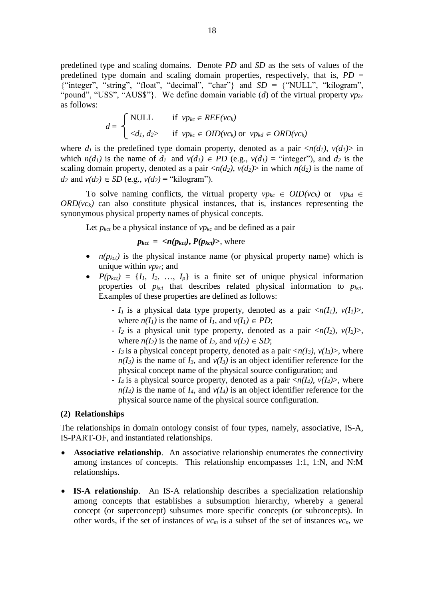predefined type and scaling domains. Denote *PD* and *SD* as the sets of values of the predefined type domain and scaling domain properties, respectively, that is,  $PD =$ {"integer", "string", "float", "decimal", "char"} and *SD* = {"NULL", "kilogram", "pound", "US\$", "AUS\$"}. We define domain variable (*d*) of the virtual property *vpkc* as follows:

$$
d = \begin{cases} \text{NULL} & \text{if } \text{v}p_{kc} \in REF(\text{v}c_k) \\ \langle d_l, d_l \rangle & \text{if } \text{v}p_{kc} \in OID(\text{v}c_k) \text{ or } \text{v}p_{kd} \in ORD(\text{v}c_k) \end{cases}
$$

where  $d_1$  is the predefined type domain property, denoted as a pair  $\langle n(d_1), v(d_1) \rangle$  in which  $n(d_1)$  is the name of  $d_1$  and  $v(d_1) \in PD$  (e.g.,  $v(d_1) =$  "integer"), and  $d_2$  is the scaling domain property, denoted as a pair  $\langle n(d_2), v(d_2) \rangle$  in which  $n(d_2)$  is the name of *d*<sub>2</sub> and  $v(d_2) \in SD$  (e.g.,  $v(d_2) =$  "kilogram").

To solve naming conflicts, the virtual property  $vp_{kc} \in OID(vc_k)$  or  $vp_{kd} \in$  $ORD(*vc<sub>k</sub>*)$  can also constitute physical instances, that is, instances representing the synonymous physical property names of physical concepts.

Let  $p_{kct}$  be a physical instance of  $vp_{kc}$  and be defined as a pair

 $p_{kct} = \langle n(p_{kct}), P(p_{kct}) \rangle$ , where

- $n(p_{kct})$  is the physical instance name (or physical property name) which is unique within *vpkc*; and
- $P(p_{kct}) = \{I_1, I_2, \ldots, I_p\}$  is a finite set of unique physical information properties of *pkct* that describes related physical information to *pkct*. Examples of these properties are defined as follows:
	- *- I<sub>1</sub>* is a physical data type property, denoted as a pair  $\langle n(I_1), v(I_1) \rangle$ , where  $n(I_1)$  is the name of  $I_1$ , and  $v(I_1) \in PD$ ;
	- *- I*<sub>2</sub> is a physical unit type property, denoted as a pair  $\langle n(I_2), v(I_2) \rangle$ , where  $n(I_2)$  is the name of  $I_2$ , and  $v(I_2) \in SD$ ;
	- *- I*<sub>3</sub> is a physical concept property, denoted as a pair  $\langle n(I_3), v(I_3) \rangle$ , where  $n(I_3)$  is the name of  $I_3$ , and  $v(I_3)$  is an object identifier reference for the physical concept name of the physical source configuration; and
	- *- I<sub>4</sub>* is a physical source property, denoted as a pair  $\langle n(I_4), v(I_4) \rangle$ , where  $n(I_4)$  is the name of  $I_4$ , and  $v(I_4)$  is an object identifier reference for the physical source name of the physical source configuration.

#### **(2) Relationships**

The relationships in domain ontology consist of four types, namely, associative, IS-A, IS-PART-OF, and instantiated relationships.

- **Associative relationship**. An associative relationship enumerates the connectivity among instances of concepts. This relationship encompasses 1:1, 1:N, and N:M relationships.
- **IS-A relationship**. An IS-A relationship describes a specialization relationship among concepts that establishes a subsumption hierarchy, whereby a general concept (or superconcept) subsumes more specific concepts (or subconcepts). In other words, if the set of instances of  $vc_m$  is a subset of the set of instances  $vc_n$ , we